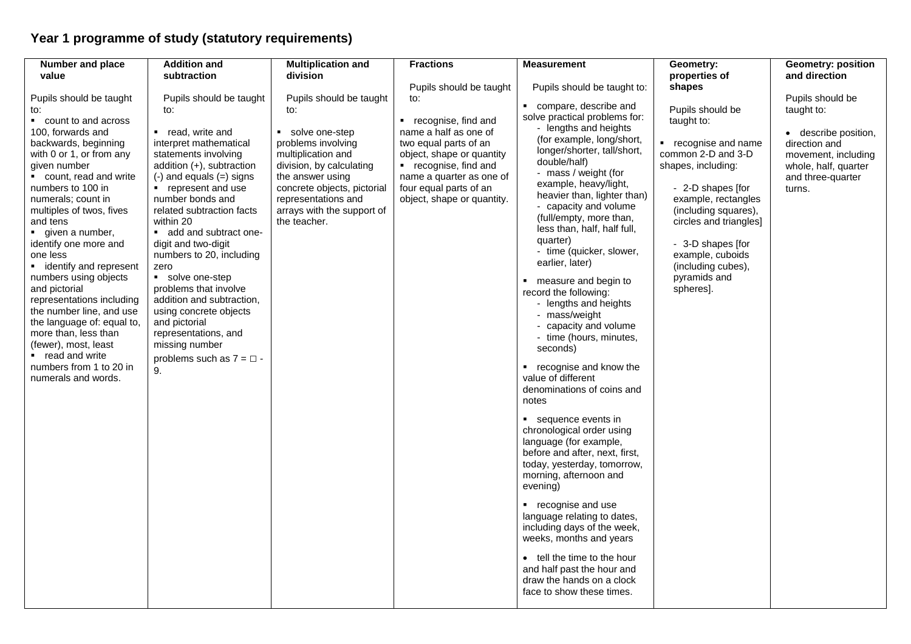## **Year 1 programme of study (statutory requirements)**

| value<br>subtraction<br>division<br>properties of<br>Pupils should be taught<br>Pupils should be taught to:<br>shapes<br>Pupils should be taught<br>Pupils should be taught<br>Pupils should be taught<br>to:<br>compare, describe and<br>Pupils should be<br>taught to:<br>to:<br>to:<br>to:<br>solve practical problems for:<br>• count to and across<br>■ recognise, find and<br>taught to:<br>- lengths and heights<br>name a half as one of<br>100, forwards and<br>■ read, write and<br>• solve one-step<br>(for example, long/short,                                                                                                                                                                                                                                                                                                                                                                                                                                                                                                                                                                                                                                                                                                                                                                                                                                                                                                                                                                                                                                                                                                                                                                                                                                                                                                                                                                                                                                                                                                                                                                                                                                                                                                                                                                                                                                                                                                                                                                          | Number and place     | <b>Addition and</b>    | <b>Multiplication and</b> | <b>Fractions</b>      | <b>Measurement</b> | Geometry:          | <b>Geometry: position</b>                                                                                                     |
|----------------------------------------------------------------------------------------------------------------------------------------------------------------------------------------------------------------------------------------------------------------------------------------------------------------------------------------------------------------------------------------------------------------------------------------------------------------------------------------------------------------------------------------------------------------------------------------------------------------------------------------------------------------------------------------------------------------------------------------------------------------------------------------------------------------------------------------------------------------------------------------------------------------------------------------------------------------------------------------------------------------------------------------------------------------------------------------------------------------------------------------------------------------------------------------------------------------------------------------------------------------------------------------------------------------------------------------------------------------------------------------------------------------------------------------------------------------------------------------------------------------------------------------------------------------------------------------------------------------------------------------------------------------------------------------------------------------------------------------------------------------------------------------------------------------------------------------------------------------------------------------------------------------------------------------------------------------------------------------------------------------------------------------------------------------------------------------------------------------------------------------------------------------------------------------------------------------------------------------------------------------------------------------------------------------------------------------------------------------------------------------------------------------------------------------------------------------------------------------------------------------------|----------------------|------------------------|---------------------------|-----------------------|--------------------|--------------------|-------------------------------------------------------------------------------------------------------------------------------|
|                                                                                                                                                                                                                                                                                                                                                                                                                                                                                                                                                                                                                                                                                                                                                                                                                                                                                                                                                                                                                                                                                                                                                                                                                                                                                                                                                                                                                                                                                                                                                                                                                                                                                                                                                                                                                                                                                                                                                                                                                                                                                                                                                                                                                                                                                                                                                                                                                                                                                                                      |                      |                        |                           |                       |                    |                    | and direction                                                                                                                 |
|                                                                                                                                                                                                                                                                                                                                                                                                                                                                                                                                                                                                                                                                                                                                                                                                                                                                                                                                                                                                                                                                                                                                                                                                                                                                                                                                                                                                                                                                                                                                                                                                                                                                                                                                                                                                                                                                                                                                                                                                                                                                                                                                                                                                                                                                                                                                                                                                                                                                                                                      |                      |                        |                           |                       |                    |                    |                                                                                                                               |
| longer/shorter, tall/short,<br>common 2-D and 3-D<br>with 0 or 1, or from any<br>statements involving<br>multiplication and<br>object, shape or quantity<br>double/half)<br>addition (+), subtraction<br>division, by calculating<br>• recognise, find and<br>shapes, including:<br>given number<br>- mass / weight (for<br>count, read and write<br>the answer using<br>name a quarter as one of<br>$(-)$ and equals $(=)$ signs<br>example, heavy/light,<br>four equal parts of an<br>- 2-D shapes [for<br>numbers to 100 in<br>• represent and use<br>concrete objects, pictorial<br>turns.<br>heavier than, lighter than)<br>representations and<br>object, shape or quantity.<br>example, rectangles<br>numerals; count in<br>number bonds and<br>- capacity and volume<br>(including squares),<br>related subtraction facts<br>arrays with the support of<br>multiples of twos, fives<br>(full/empty, more than,<br>within 20<br>the teacher.<br>circles and triangles]<br>and tens<br>less than, half, half full,<br>$\blacksquare$ given a number,<br>add and subtract one-<br>quarter)<br>identify one more and<br>- 3-D shapes [for<br>digit and two-digit<br>- time (quicker, slower,<br>example, cuboids<br>one less<br>numbers to 20, including<br>earlier, later)<br>(including cubes),<br>• identify and represent<br>zero<br>pyramids and<br>numbers using objects<br>solve one-step<br>• measure and begin to<br>and pictorial<br>problems that involve<br>spheres].<br>record the following:<br>addition and subtraction,<br>representations including<br>- lengths and heights<br>using concrete objects<br>the number line, and use<br>- mass/weight<br>and pictorial<br>the language of: equal to,<br>- capacity and volume<br>more than, less than<br>representations, and<br>- time (hours, minutes,<br>(fewer), most, least<br>missing number<br>seconds)<br>■ read and write<br>problems such as $7 = \Box$ .<br>• recognise and know the<br>numbers from 1 to 20 in<br>9.<br>value of different<br>numerals and words.<br>denominations of coins and<br>notes<br>■ sequence events in<br>chronological order using<br>language (for example,<br>before and after, next, first,<br>today, yesterday, tomorrow,<br>morning, afternoon and<br>evening)<br>■ recognise and use<br>language relating to dates,<br>including days of the week,<br>weeks, months and years<br>• tell the time to the hour<br>and half past the hour and<br>draw the hands on a clock<br>face to show these times. | backwards, beginning | interpret mathematical | problems involving        | two equal parts of an |                    | recognise and name | Pupils should be<br>• describe position,<br>direction and<br>movement, including<br>whole, half, quarter<br>and three-quarter |